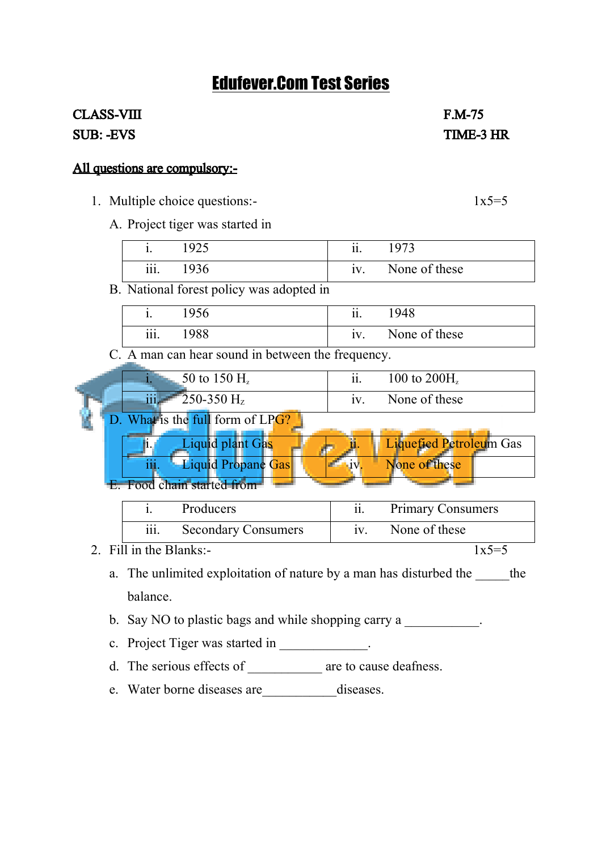## Edufever.Com Test Series

## CLASS-VIII F.M-75 SUB: -EVS TIME-3 HR

## All questions are compulsory:-

- 1. Multiple choice questions:-  $1x5=5$ 
	- A. Project tiger was started in

|      | 925   | $\cdot \cdot$<br>11. | $\sqrt{073}$  |
|------|-------|----------------------|---------------|
| iii. | . വ≏. | $\bullet$<br>1V      | None of these |

B. National forest policy was adopted in

|      | '956 | $\cdot \cdot$ | ! 948         |
|------|------|---------------|---------------|
| iii. | '988 | iv.           | None of these |

C. A man can hear sound in between the frequency.

| 50 to 150 $H_z$                                           | $\cdot \cdot$ | 100 to $200H_z$ |
|-----------------------------------------------------------|---------------|-----------------|
| $\bullet$ $\bullet$ $\bullet$<br>$250-350$ H <sub>z</sub> | 1V            | None of these   |

D. What is the full form of LPG?



|      | <b>Producers</b>           | <b>Primary Consumers</b> |
|------|----------------------------|--------------------------|
| iii. | <b>Secondary Consumers</b> | None of these            |

- 2. Fill in the Blanks:-  $1x5=5$ 
	- a. The unlimited exploitation of nature by a man has disturbed the the balance.
	- b. Say NO to plastic bags and while shopping carry a
	- c. Project Tiger was started in  $\blacksquare$
	- d. The serious effects of are to cause deafness.
	- e. Water borne diseases are\_\_\_\_\_\_\_\_\_\_\_diseases.